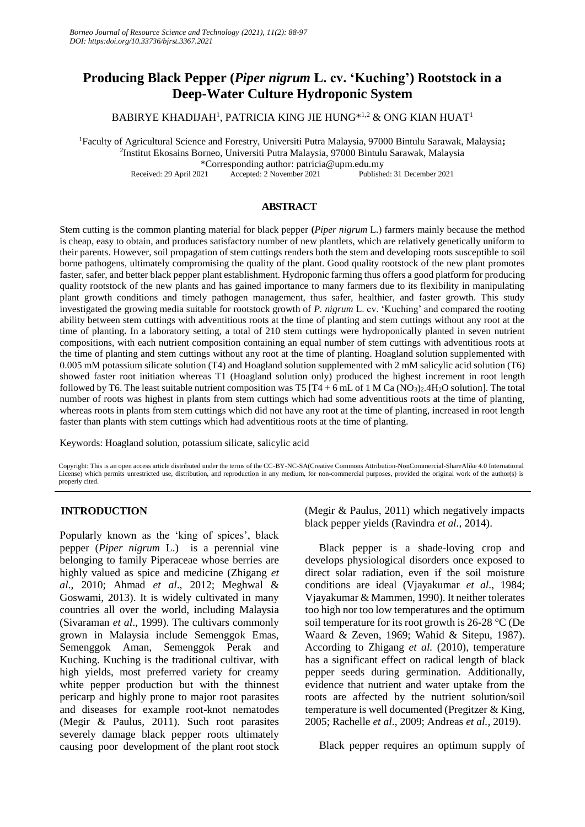# **Producing Black Pepper (***Piper nigrum* **L. cv. 'Kuching') Rootstock in a Deep-Water Culture Hydroponic System**

BABIRYE KHADIJAH<sup>1</sup> , PATRICIA KING JIE HUNG\*1,2 & ONG KIAN HUAT<sup>1</sup>

<sup>1</sup>Faculty of Agricultural Science and Forestry, Universiti Putra Malaysia, 97000 Bintulu Sarawak, Malaysia**;**  2 Institut Ekosains Borneo, Universiti Putra Malaysia, 97000 Bintulu Sarawak, Malaysia

\*Corresponding author: patricia@upm.edu.my

Received: 29 April 2021 Accepted: 2 November 2021 Published: 31 December 2021

## **ABSTRACT**

Stem cutting is the common planting material for black pepper **(***Piper nigrum* L.) farmers mainly because the method is cheap, easy to obtain, and produces satisfactory number of new plantlets, which are relatively genetically uniform to their parents. However, soil propagation of stem cuttings renders both the stem and developing roots susceptible to soil borne pathogens, ultimately compromising the quality of the plant. Good quality rootstock of the new plant promotes faster, safer, and better black pepper plant establishment. Hydroponic farming thus offers a good platform for producing quality rootstock of the new plants and has gained importance to many farmers due to its flexibility in manipulating plant growth conditions and timely pathogen management, thus safer, healthier, and faster growth. This study investigated the growing media suitable for rootstock growth of *P. nigrum* L. cv. 'Kuching' and compared the rooting ability between stem cuttings with adventitious roots at the time of planting and stem cuttings without any root at the time of planting**.** In a laboratory setting, a total of 210 stem cuttings were hydroponically planted in seven nutrient compositions, with each nutrient composition containing an equal number of stem cuttings with adventitious roots at the time of planting and stem cuttings without any root at the time of planting. Hoagland solution supplemented with 0.005 mM potassium silicate solution (T4) and Hoagland solution supplemented with 2 mM salicylic acid solution (T6) showed faster root initiation whereas T1 (Hoagland solution only) produced the highest increment in root length followed by T6. The least suitable nutrient composition was T5 [T4 + 6 mL of 1 M Ca (NO<sub>3</sub>)<sub>2</sub>.4H<sub>2</sub>O solution]. The total number of roots was highest in plants from stem cuttings which had some adventitious roots at the time of planting, whereas roots in plants from stem cuttings which did not have any root at the time of planting, increased in root length faster than plants with stem cuttings which had adventitious roots at the time of planting.

Keywords: Hoagland solution, potassium silicate, salicylic acid

Copyright: This is an open access article distributed under the terms of the CC-BY-NC-SA(Creative Commons Attribution-NonCommercial-ShareAlike 4.0 International License) which permits unrestricted use, distribution, and reproduction in any medium, for non-commercial purposes, provided the original work of the author(s) is properly cited.

## **INTRODUCTION**

Popularly known as the 'king of spices', black pepper (*Piper nigrum* L.) is a perennial vine belonging to family Piperaceae whose berries are highly valued as spice and medicine (Zhigang *et al*., 2010; Ahmad *et al*., 2012; Meghwal & Goswami, 2013). It is widely cultivated in many countries all over the world, including Malaysia (Sivaraman *et al*., 1999). The cultivars commonly grown in Malaysia include Semenggok Emas, Semenggok Aman, Semenggok Perak and Kuching. Kuching is the traditional cultivar, with high yields, most preferred variety for creamy white pepper production but with the thinnest pericarp and highly prone to major root parasites and diseases for example root-knot nematodes (Megir & Paulus, 2011). Such root parasites severely damage black pepper roots ultimately causing poor development of the plant root stock (Megir & Paulus, 2011) which negatively impacts black pepper yields (Ravindra *et al.*, 2014).

Black pepper is a shade-loving crop and develops physiological disorders once exposed to direct solar radiation, even if the soil moisture conditions are ideal (Vjayakumar *et al*., 1984; Vjayakumar & Mammen, 1990). It neither tolerates too high nor too low temperatures and the optimum soil temperature for its root growth is 26-28 °C (De Waard & Zeven, 1969; Wahid & Sitepu, 1987). According to Zhigang *et al.* (2010), temperature has a significant effect on radical length of black pepper seeds during germination. Additionally, evidence that nutrient and water uptake from the roots are affected by the nutrient solution/soil temperature is well documented (Pregitzer & King, 2005; Rachelle *et al*., 2009; Andreas *et al.*, 2019).

Black pepper requires an optimum supply of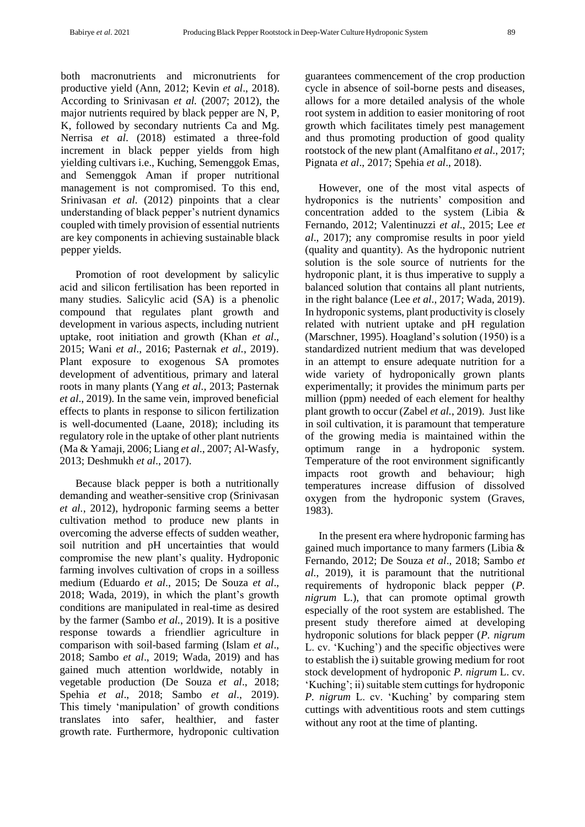both macronutrients and micronutrients for productive yield (Ann, 2012; Kevin *et al*., 2018). According to Srinivasan *et al.* (2007; 2012), the major nutrients required by black pepper are N, P, K, followed by secondary nutrients Ca and Mg. Nerrisa *et al*. (2018) estimated a three-fold increment in black pepper yields from high yielding cultivars i.e., Kuching, Semenggok Emas*,* and Semenggok Aman if proper nutritional management is not compromised. To this end, Srinivasan *et al.* (2012) pinpoints that a clear understanding of black pepper's nutrient dynamics coupled with timely provision of essential nutrients are key components in achieving sustainable black pepper yields.

Promotion of root development by salicylic acid and silicon fertilisation has been reported in many studies. Salicylic acid (SA) is a phenolic compound that regulates plant growth and development in various aspects, including nutrient uptake, root initiation and growth (Khan *et al*., 2015; Wani *et al*., 2016; Pasternak *et al.*, 2019). Plant exposure to exogenous SA promotes development of adventitious, primary and lateral roots in many plants (Yang *et al.*, 2013; Pasternak *et al*., 2019). In the same vein, improved beneficial effects to plants in response to silicon fertilization is well-documented (Laane, 2018); including its regulatory role in the uptake of other plant nutrients (Ma & Yamaji, 2006; Liang *et al*., 2007; Al-Wasfy, 2013; Deshmukh *et al*., 2017).

Because black pepper is both a nutritionally demanding and weather-sensitive crop (Srinivasan *et al.*, 2012), hydroponic farming seems a better cultivation method to produce new plants in overcoming the adverse effects of sudden weather, soil nutrition and pH uncertainties that would compromise the new plant's quality. Hydroponic farming involves cultivation of crops in a soilless medium (Eduardo *et al*., 2015; De Souza *et al*., 2018; Wada, 2019), in which the plant's growth conditions are manipulated in real-time as desired by the farmer (Sambo *et al.*, 2019). It is a positive response towards a friendlier agriculture in comparison with soil-based farming (Islam *et al*., 2018; Sambo *et al*., 2019; Wada, 2019) and has gained much attention worldwide, notably in vegetable production (De Souza *et al*., 2018; Spehia *et al*., 2018; Sambo *et al*., 2019). This timely 'manipulation' of growth conditions translates into safer, healthier, and faster growth rate. Furthermore, hydroponic cultivation guarantees commencement of the crop production cycle in absence of soil-borne pests and diseases, allows for a more detailed analysis of the whole root system in addition to easier monitoring of root growth which facilitates timely pest management and thus promoting production of good quality rootstock of the new plant (Amalfitano *et al*., 2017; [Pignata](https://www.ncbi.nlm.nih.gov/pmc/articles/PMC6668597/#ref139) *et al*., 2017; Spehia *et al*., 2018).

However, one of the most vital aspects of hydroponics is the nutrients' composition and concentration added to the system (Libia & Fernando, 2012; Valentinuzzi *et al*., 2015; Lee *et al*., 2017); any compromise results in poor yield (quality and quantity). As the hydroponic nutrient solution is the sole source of nutrients for the hydroponic plant, it is thus imperative to supply a balanced solution that contains all plant nutrients, in the right balance (Lee *et al*., 2017; Wada, 2019). In hydroponic systems, plant productivity is closely related with nutrient uptake and pH regulation (Marschner, 1995). Hoagland's solution (1950) is a standardized nutrient medium that was developed in an attempt to ensure adequate nutrition for a wide variety of hydroponically grown plants experimentally; it provides the minimum parts per million (ppm) needed of each element for healthy plant growth to occur (Zabel *et al.*, 2019). Just like in soil cultivation, it is paramount that temperature of the growing media is maintained within the optimum range in a hydroponic system. Temperature of the root environment significantly impacts root growth and behaviour; high temperatures increase diffusion of dissolved oxygen from the hydroponic system (Graves, 1983).

In the present era where hydroponic farming has gained much importance to many farmers (Libia & Fernando, 2012; De Souza *et al*., 2018; Sambo *et al.*, 2019), it is paramount that the nutritional requirements of hydroponic black pepper (*P. nigrum* L.), that can promote optimal growth especially of the root system are established. The present study therefore aimed at developing hydroponic solutions for black pepper (*P. nigrum*  L. cv. 'Kuching') and the specific objectives were to establish the i) suitable growing medium for root stock development of hydroponic *P. nigrum* L. cv. 'Kuching'; ii) suitable stem cuttings for hydroponic *P. nigrum* L. cv. 'Kuching' by comparing stem cuttings with adventitious roots and stem cuttings without any root at the time of planting.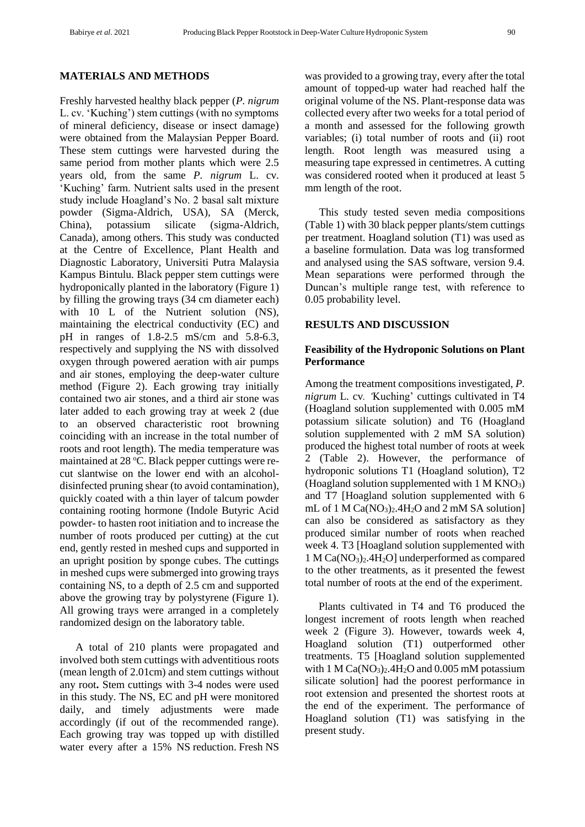#### **MATERIALS AND METHODS**

Freshly harvested healthy black pepper (*P. nigrum*  L. cv. 'Kuching') stem cuttings (with no symptoms of mineral deficiency, disease or insect damage) were obtained from the Malaysian Pepper Board. These stem cuttings were harvested during the same period from mother plants which were 2.5 years old, from the same *P. nigrum* L. cv. 'Kuching' farm. Nutrient salts used in the present study include Hoagland's No. 2 basal salt mixture powder (Sigma-Aldrich, USA), SA (Merck, China), potassium silicate (sigma-Aldrich, Canada), among others. This study was conducted at the Centre of Excellence, Plant Health and Diagnostic Laboratory, Universiti Putra Malaysia Kampus Bintulu. Black pepper stem cuttings were hydroponically planted in the laboratory (Figure 1) by filling the growing trays (34 cm diameter each) with 10 L of the Nutrient solution (NS), maintaining the electrical conductivity (EC) and pH in ranges of 1.8-2.5 mS/cm and 5.8-6.3, respectively and supplying the NS with dissolved oxygen through powered aeration with air pumps and air stones, employing the deep-water culture method (Figure 2). Each growing tray initially contained two air stones, and a third air stone was later added to each growing tray at week 2 (due to an observed characteristic root browning coinciding with an increase in the total number of roots and root length). The media temperature was maintained at  $28 \text{ °C}$ . Black pepper cuttings were recut slantwise on the lower end with an alcoholdisinfected pruning shear (to avoid contamination), quickly coated with a thin layer of talcum powder containing rooting hormone (Indole Butyric Acid powder- to hasten root initiation and to increase the number of roots produced per cutting) at the cut end, gently rested in meshed cups and supported in an upright position by sponge cubes. The cuttings in meshed cups were submerged into growing trays containing NS, to a depth of 2.5 cm and supported above the growing tray by polystyrene (Figure 1). All growing trays were arranged in a completely randomized design on the laboratory table.

A total of 210 plants were propagated and involved both stem cuttings with adventitious roots (mean length of 2.01cm) and stem cuttings without any root**.** Stem cuttings with 3-4 nodes were used in this study. The NS, EC and pH were monitored daily, and timely adjustments were made accordingly (if out of the recommended range). Each growing tray was topped up with distilled water every after a 15% NS reduction. Fresh NS was provided to a growing tray, every after the total amount of topped-up water had reached half the original volume of the NS. Plant-response data was collected every after two weeks for a total period of a month and assessed for the following growth variables; (i) total number of roots and (ii) root length. Root length was measured using a measuring tape expressed in centimetres. A cutting was considered rooted when it produced at least 5 mm length of the root.

This study tested seven media compositions (Table 1) with 30 black pepper plants/stem cuttings per treatment. Hoagland solution (T1) was used as a baseline formulation. Data was log transformed and analysed using the SAS software, version 9.4. Mean separations were performed through the Duncan's multiple range test, with reference to 0.05 probability level.

## **RESULTS AND DISCUSSION**

## **Feasibility of the Hydroponic Solutions on Plant Performance**

Among the treatment compositions investigated, *P. nigrum* L*.* cv*. '*Kuching' cuttings cultivated in T4 (Hoagland solution supplemented with 0.005 mM potassium silicate solution) and T6 (Hoagland solution supplemented with 2 mM SA solution) produced the highest total number of roots at week 2 (Table 2). However, the performance of hydroponic solutions T1 (Hoagland solution), T2 (Hoagland solution supplemented with  $1 M KNO<sub>3</sub>$ ) and T7 [Hoagland solution supplemented with 6 mL of 1 M  $Ca(NO<sub>3</sub>)<sub>2</sub>$ .4H<sub>2</sub>O and 2 mM SA solution] can also be considered as satisfactory as they produced similar number of roots when reached week 4. T3 [Hoagland solution supplemented with  $1 M Ca(NO<sub>3</sub>)<sub>2</sub>$ .4H<sub>2</sub>O] underperformed as compared to the other treatments, as it presented the fewest total number of roots at the end of the experiment.

Plants cultivated in T4 and T6 produced the longest increment of roots length when reached week 2 (Figure 3). However, towards week 4, Hoagland solution (T1) outperformed other treatments. T5 [Hoagland solution supplemented with 1 M  $Ca(NO<sub>3</sub>)<sub>2</sub>$ .4H<sub>2</sub>O and 0.005 mM potassium silicate solution] had the poorest performance in root extension and presented the shortest roots at the end of the experiment. The performance of Hoagland solution (T1) was satisfying in the present study.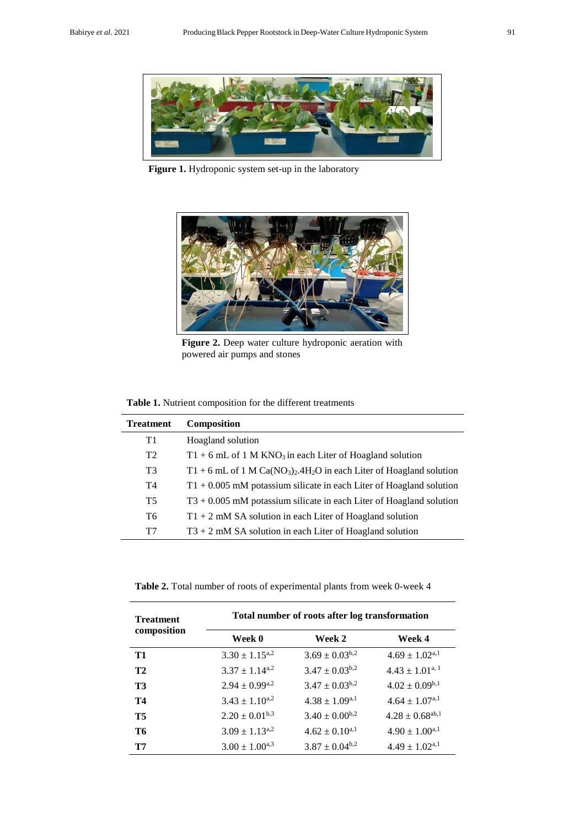

**Figure 1.** Hydroponic system set-up in the laboratory



Figure 2. Deep water culture hydroponic aeration with powered air pumps and stones

| Table 1. Nutrient composition for the different treatments |  |
|------------------------------------------------------------|--|
|------------------------------------------------------------|--|

| <b>Treatment</b> | <b>Composition</b>                                                                                         |
|------------------|------------------------------------------------------------------------------------------------------------|
| T1               | Hoagland solution                                                                                          |
| T <sub>2</sub>   | $T1 + 6$ mL of 1 M KNO <sub>3</sub> in each Liter of Hoagland solution                                     |
| T <sub>3</sub>   | $T1 + 6$ mL of 1 M Ca(NO <sub>3</sub> ) <sub>2</sub> .4H <sub>2</sub> O in each Liter of Hoagland solution |
| T4               | $T1 + 0.005$ mM potassium silicate in each Liter of Hoagland solution                                      |
| <b>T5</b>        | $T3 + 0.005$ mM potassium silicate in each Liter of Hoagland solution                                      |
| T6               | $T1 + 2$ mM SA solution in each Liter of Hoagland solution                                                 |
| T7               | $T3 + 2$ mM SA solution in each Liter of Hoagland solution                                                 |

**Table 2.** Total number of roots of experimental plants from week 0-week 4

| <b>Treatment</b> | Total number of roots after log transformation |                       |                                |  |  |  |  |
|------------------|------------------------------------------------|-----------------------|--------------------------------|--|--|--|--|
| composition      | Week 0                                         | Week 2                | Week 4                         |  |  |  |  |
| T1               | $3.30 \pm 1.15^{a,2}$                          | $3.69 \pm 0.03^{b,2}$ | $4.69 \pm 1.02$ <sup>a,1</sup> |  |  |  |  |
| T2               | $3.37 \pm 1.14^{a,2}$                          | $3.47 \pm 0.03^{b,2}$ | $4.43 \pm 1.01^{a,1}$          |  |  |  |  |
| <b>T3</b>        | $2.94 \pm 0.99^{a,2}$                          | $3.47 \pm 0.03^{b,2}$ | $4.02 \pm 0.09^{b,1}$          |  |  |  |  |
| <b>T4</b>        | $3.43 \pm 1.10^{a,2}$                          | $4.38 \pm 1.09^{a,1}$ | $4.64 \pm 1.07^{\text{a},1}$   |  |  |  |  |
| <b>T5</b>        | $2.20 \pm 0.01^{b,3}$                          | $3.40 \pm 0.00^{b,2}$ | $4.28 \pm 0.68^{ab,1}$         |  |  |  |  |
| T6               | $3.09 \pm 1.13^{a,2}$                          | $4.62 \pm 0.10^{a,1}$ | $4.90 \pm 1.00^{a,1}$          |  |  |  |  |
| T7               | $3.00 \pm 1.00^{a,3}$                          | $3.87 \pm 0.04^{b,2}$ | $4.49 \pm 1.02^{a,1}$          |  |  |  |  |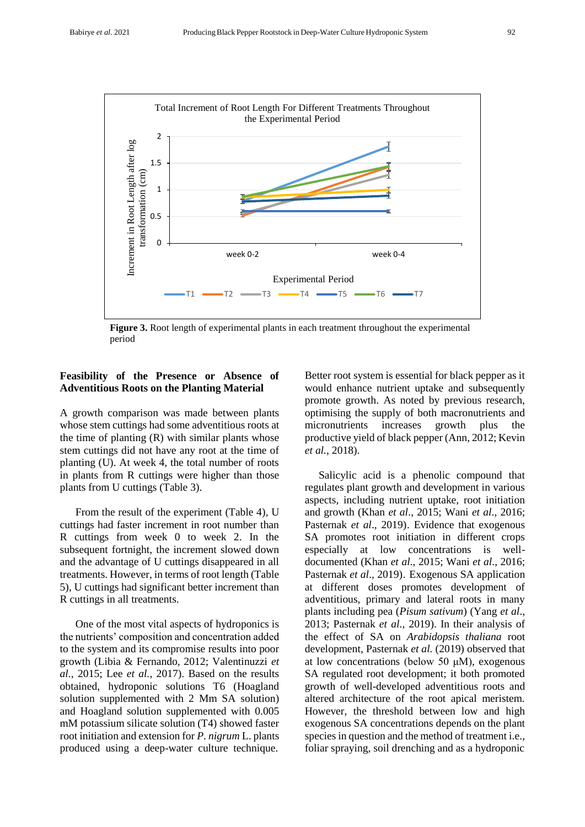

**Figure 3.** Root length of experimental plants in each treatment throughout the experimental period

## **Feasibility of the Presence or Absence of Adventitious Roots on the Planting Material**

A growth comparison was made between plants whose stem cuttings had some adventitious roots at the time of planting (R) with similar plants whose stem cuttings did not have any root at the time of planting (U). At week 4, the total number of roots in plants from R cuttings were higher than those plants from U cuttings (Table 3).

From the result of the experiment (Table 4), U cuttings had faster increment in root number than R cuttings from week 0 to week 2. In the subsequent fortnight, the increment slowed down and the advantage of U cuttings disappeared in all treatments. However, in terms of root length (Table 5), U cuttings had significant better increment than R cuttings in all treatments.

One of the most vital aspects of hydroponics is the nutrients' composition and concentration added to the system and its compromise results into poor growth (Libia & Fernando, 2012; Valentinuzzi *et al.*, 2015; Lee *et al.*, 2017). Based on the results obtained, hydroponic solutions T6 (Hoagland solution supplemented with 2 Mm SA solution) and Hoagland solution supplemented with 0.005 mM potassium silicate solution (T4) showed faster root initiation and extension for *P. nigrum* L. plants produced using a deep-water culture technique. Better root system is essential for black pepper as it would enhance nutrient uptake and subsequently promote growth. As noted by previous research, optimising the supply of both macronutrients and micronutrients increases growth plus the productive yield of black pepper (Ann, 2012; Kevin *et al.*, 2018).

Salicylic acid is a phenolic compound that regulates plant growth and development in various aspects, including nutrient uptake, root initiation and growth (Khan *et al*., 2015; Wani *et al*., 2016; Pasternak *et al*., 2019). Evidence that exogenous SA promotes root initiation in different crops especially at low concentrations is welldocumented (Khan *et al*., 2015; Wani *et al*., 2016; Pasternak *et al*., 2019). Exogenous SA application at different doses promotes development of adventitious, primary and lateral roots in many plants including pea (*Pisum sativum*) (Yang *et al*., 2013; Pasternak *et al*., 2019). In their analysis of the effect of SA on *Arabidopsis thaliana* root development, Pasternak *et al.* (2019) observed that at low concentrations (below 50 μM), exogenous SA regulated root development; it both promoted growth of well-developed adventitious roots and altered architecture of the root apical meristem. However, the threshold between low and high exogenous SA concentrations depends on the plant species in question and the method of treatment i.e., foliar spraying, soil drenching and as a hydroponic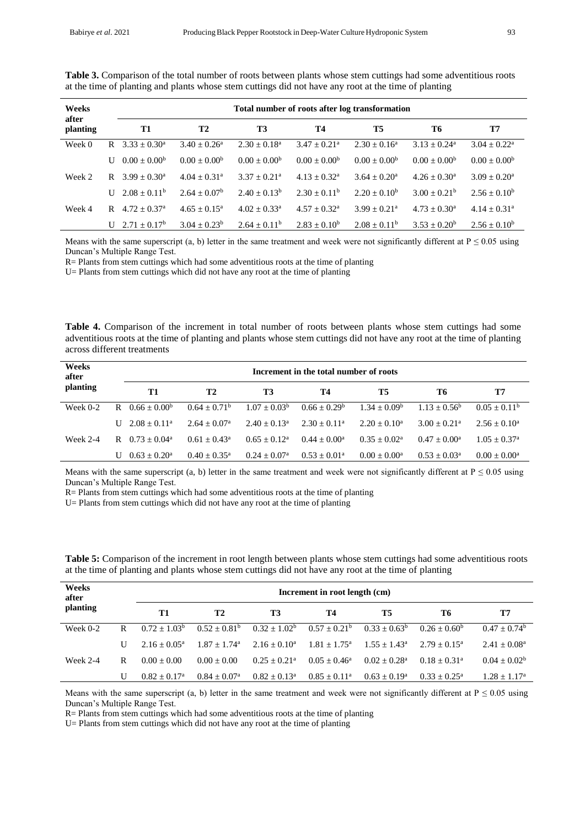| Weeks<br>after |   | Total number of roots after log transformation |                            |                            |                            |                            |                         |                         |  |  |  |
|----------------|---|------------------------------------------------|----------------------------|----------------------------|----------------------------|----------------------------|-------------------------|-------------------------|--|--|--|
| planting       |   | T1                                             | <b>T2</b>                  | <b>T3</b>                  | T4                         | <b>T5</b>                  | Т6                      | T7                      |  |  |  |
| Week 0         | R | $3.33 + 0.30^{\circ}$                          | $3.40 + 0.26^a$            | $2.30 + 0.18^a$            | $3.47 + 0.21$ <sup>a</sup> | $2.30 + 0.16^a$            | $3.13 + 0.24^a$         | $3.04 + 0.22^a$         |  |  |  |
|                | U | $0.00 \pm 0.00^{\rm b}$                        | $0.00 + 0.00b$             | $0.00 + 0.00b$             | $0.00 + 0.00b$             | $0.00 + 0.00b$             | $0.00 + 0.00b$          | $0.00 \pm 0.00^{\rm b}$ |  |  |  |
| Week 2         | R | $3.99 + 0.30^{\circ}$                          | $4.04 + 0.31$ <sup>a</sup> | $3.37 + 0.21$ <sup>a</sup> | $4.13 + 0.32^{\text{a}}$   | $3.64 + 0.20^a$            | $4.26 \pm 0.30^{\circ}$ | $3.09 + 0.20^a$         |  |  |  |
|                | U | $2.08 + 0.11^b$                                | $2.64 + 0.07^b$            | $2.40 + 0.13^b$            | $2.30 + 0.11^b$            | $2.20 + 0.10^b$            | $3.00 + 0.21^b$         | $2.56 + 0.10^b$         |  |  |  |
| Week 4         | R | $4.72 + 0.37a$                                 | $4.65 \pm 0.15^{\circ}$    | $4.02 + 0.33^a$            | $4.57 + 0.32^{\text{a}}$   | $3.99 + 0.21$ <sup>a</sup> | $4.73 + 0.30^{\circ}$   | $4.14 \pm 0.31^{\circ}$ |  |  |  |
|                |   | $U$ 2.71 + 0.17 <sup>b</sup>                   | $3.04 + 0.23^b$            | $2.64 + 0.11b$             | $2.83 + 0.10^b$            | $2.08 \pm 0.11^b$          | $3.53 + 0.20^b$         | $2.56 + 0.10^b$         |  |  |  |

**Table 3.** Comparison of the total number of roots between plants whose stem cuttings had some adventitious roots at the time of planting and plants whose stem cuttings did not have any root at the time of planting

Means with the same superscript (a, b) letter in the same treatment and week were not significantly different at  $P \le 0.05$  using Duncan's Multiple Range Test.

R= Plants from stem cuttings which had some adventitious roots at the time of planting

U= Plants from stem cuttings which did not have any root at the time of planting

**Table 4.** Comparison of the increment in total number of roots between plants whose stem cuttings had some adventitious roots at the time of planting and plants whose stem cuttings did not have any root at the time of planting across different treatments

| Weeks<br>after |   | Increment in the total number of roots |                          |                          |                   |                 |                            |                         |  |
|----------------|---|----------------------------------------|--------------------------|--------------------------|-------------------|-----------------|----------------------------|-------------------------|--|
| planting       |   | T1                                     | <b>T2</b>                | Т3                       | Т4                | Т5              | Т6                         | T7                      |  |
| Week $0-2$     | R | $0.66 \pm 0.00^b$                      | $0.64 + 0.71b$           | $1.07 + 0.03^b$          | $0.66 + 0.29^b$   | $1.34 + 0.09^b$ | $1.13 + 0.56^b$            | $0.05 \pm 0.11^b$       |  |
|                |   | $U = 2.08 + 0.11a$                     | $2.64 + 0.07a$           | $2.40 + 0.13a$           | $2.30 \pm 0.11^a$ | $2.20 + 0.10^a$ | $3.00 + 0.21$ <sup>a</sup> | $2.56 \pm 0.10^a$       |  |
| Week $2-4$     | R | $0.73 + 0.04^a$                        | $0.61 + 0.43^a$          | $0.65 + 0.12^a$          | $0.44 + 0.00^a$   | $0.35 + 0.02^a$ | $0.47 + 0.00^a$            | $1.05 + 0.37^{\rm a}$   |  |
|                |   | $0.63 + 0.20^a$                        | $0.40 + 0.35^{\text{a}}$ | $0.24 + 0.07^{\text{a}}$ | $0.53 + 0.01^a$   | $0.00 + 0.00^a$ | $0.53 + 0.03^a$            | $0.00 \pm 0.00^{\rm a}$ |  |

Means with the same superscript (a, b) letter in the same treatment and week were not significantly different at  $P \le 0.05$  using Duncan's Multiple Range Test.

R= Plants from stem cuttings which had some adventitious roots at the time of planting

U= Plants from stem cuttings which did not have any root at the time of planting

| Weeks<br>after |   | Increment in root length (cm) |                            |                            |                          |                 |                          |                 |  |
|----------------|---|-------------------------------|----------------------------|----------------------------|--------------------------|-----------------|--------------------------|-----------------|--|
| planting       |   | T1                            | <b>T2</b>                  | <b>T3</b>                  | Т4                       | T5              | Т6                       | T7              |  |
| Week $0-2$     | R | $0.72 + 1.03b$                | $0.52 + 0.81^b$            | $0.32 + 1.02^b$            | $0.57 + 0.21^b$          | $0.33 + 0.63^b$ | $0.26 + 0.60^b$          | $0.47 + 0.74^b$ |  |
|                | U | $2.16 + 0.05^{\circ}$         | $1.87 + 1.74$ <sup>a</sup> | $2.16 \pm 0.10^a$          | $1.81 + 1.75^{\text{a}}$ | $1.55 + 1.43^a$ | $2.79 + 0.15^a$          | $2.41 + 0.08^a$ |  |
| Week 2-4       | R | $0.00 + 0.00$                 | $0.00 + 0.00$              | $0.25 + 0.21$ <sup>a</sup> | $0.05 + 0.46^a$          | $0.02 + 0.28^a$ | $0.18 + 0.31^a$          | $0.04 + 0.02^b$ |  |
|                |   | $0.82 + 0.17^a$               | $0.84 + 0.07^{\circ}$      | $0.82 + 0.13^a$            | $0.85 \pm 0.11^{\circ}$  | $0.63 + 0.19^a$ | $0.33 + 0.25^{\text{a}}$ | $1.28 + 1.17^a$ |  |

**Table 5:** Comparison of the increment in root length between plants whose stem cuttings had some adventitious roots at the time of planting and plants whose stem cuttings did not have any root at the time of planting

Means with the same superscript (a, b) letter in the same treatment and week were not significantly different at  $P \le 0.05$  using Duncan's Multiple Range Test.

R= Plants from stem cuttings which had some adventitious roots at the time of planting

U= Plants from stem cuttings which did not have any root at the time of planting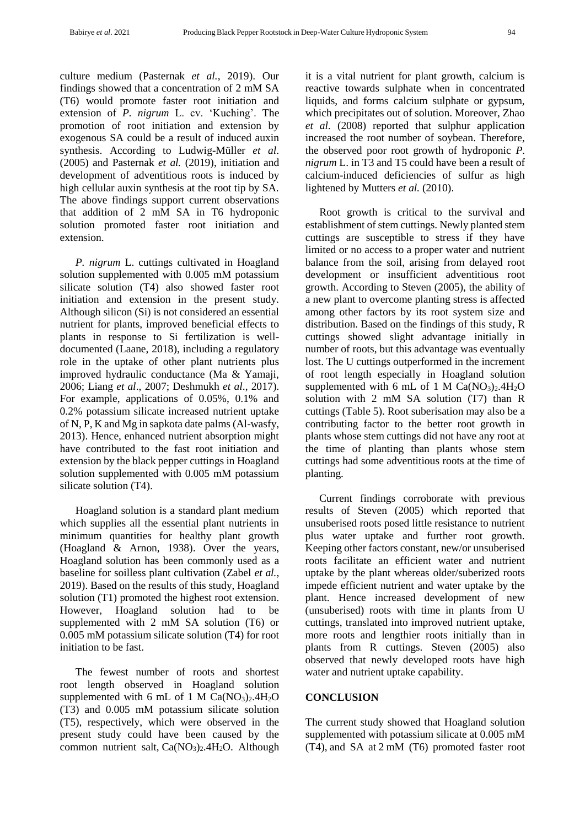culture medium (Pasternak *et al.*, 2019). Our findings showed that a concentration of 2 mM SA (T6) would promote faster root initiation and extension of *P. nigrum* L. cv. 'Kuching'. The promotion of root initiation and extension by exogenous SA could be a result of induced auxin synthesis. According to Ludwig-Müller *et al*. (2005) and Pasternak *et al.* (2019), initiation and development of adventitious roots is induced by high cellular auxin synthesis at the root tip by SA. The above findings support current observations that addition of 2 mM SA in T6 hydroponic solution promoted faster root initiation and extension.

*P. nigrum* L. cuttings cultivated in Hoagland solution supplemented with 0.005 mM potassium silicate solution (T4) also showed faster root initiation and extension in the present study. Although silicon (Si) is not considered an essential nutrient for plants, improved beneficial effects to plants in response to Si fertilization is welldocumented (Laane, 2018), including a regulatory role in the uptake of other plant nutrients plus improved hydraulic conductance (Ma & Yamaji, 2006; Liang *et al*., 2007; Deshmukh *et al*., 2017). For example, applications of 0.05%, 0.1% and 0.2% potassium silicate increased nutrient uptake of N, P, K and Mg in sapkota date palms (Al-wasfy, 2013). Hence, enhanced nutrient absorption might have contributed to the fast root initiation and extension by the black pepper cuttings in Hoagland solution supplemented with 0.005 mM potassium silicate solution (T4).

Hoagland solution is a standard plant medium which supplies all the essential plant nutrients in minimum quantities for healthy plant growth (Hoagland & Arnon, 1938). Over the years, Hoagland solution has been commonly used as a baseline for soilless plant cultivation (Zabel *et al.*, 2019). Based on the results of this study, Hoagland solution (T1) promoted the highest root extension. However, Hoagland solution had to be supplemented with 2 mM SA solution (T6) or 0.005 mM potassium silicate solution (T4) for root initiation to be fast.

The fewest number of roots and shortest root length observed in Hoagland solution supplemented with 6 mL of 1 M  $Ca(NO<sub>3</sub>)<sub>2</sub>$ .4H<sub>2</sub>O (T3) and 0.005 mM potassium silicate solution (T5), respectively, which were observed in the present study could have been caused by the common nutrient salt,  $Ca(NO<sub>3</sub>)<sub>2</sub>4H<sub>2</sub>O$ . Although it is a vital nutrient for plant growth, calcium is reactive towards sulphate when in concentrated liquids, and forms calcium sulphate or gypsum, which precipitates out of solution. Moreover, Zhao *et al.* (2008) reported that sulphur application increased the root number of soybean. Therefore, the observed poor root growth of hydroponic *P. nigrum* L. in T3 and T5 could have been a result of calcium-induced deficiencies of sulfur as high lightened by Mutters *et al.* (2010).

Root growth is critical to the survival and establishment of stem cuttings. Newly planted stem cuttings are susceptible to stress if they have limited or no access to a proper water and nutrient balance from the soil, arising from delayed root development or insufficient adventitious root growth. According to Steven (2005), the ability of a new plant to overcome planting stress is affected among other factors by its root system size and distribution. Based on the findings of this study, R cuttings showed slight advantage initially in number of roots, but this advantage was eventually lost. The U cuttings outperformed in the increment of root length especially in Hoagland solution supplemented with 6 mL of 1 M  $Ca(NO<sub>3</sub>)<sub>2</sub>$ .4H<sub>2</sub>O solution with 2 mM SA solution (T7) than R cuttings (Table 5). Root suberisation may also be a contributing factor to the better root growth in plants whose stem cuttings did not have any root at the time of planting than plants whose stem cuttings had some adventitious roots at the time of planting.

Current findings corroborate with previous results of Steven (2005) which reported that unsuberised roots posed little resistance to nutrient plus water uptake and further root growth. Keeping other factors constant, new/or unsuberised roots facilitate an efficient water and nutrient uptake by the plant whereas older/suberized roots impede efficient nutrient and water uptake by the plant. Hence increased development of new (unsuberised) roots with time in plants from U cuttings, translated into improved nutrient uptake, more roots and lengthier roots initially than in plants from R cuttings. Steven (2005) also observed that newly developed roots have high water and nutrient uptake capability.

## **CONCLUSION**

The current study showed that Hoagland solution supplemented with potassium silicate at 0.005 mM (T4), and SA at 2 mM (T6) promoted faster root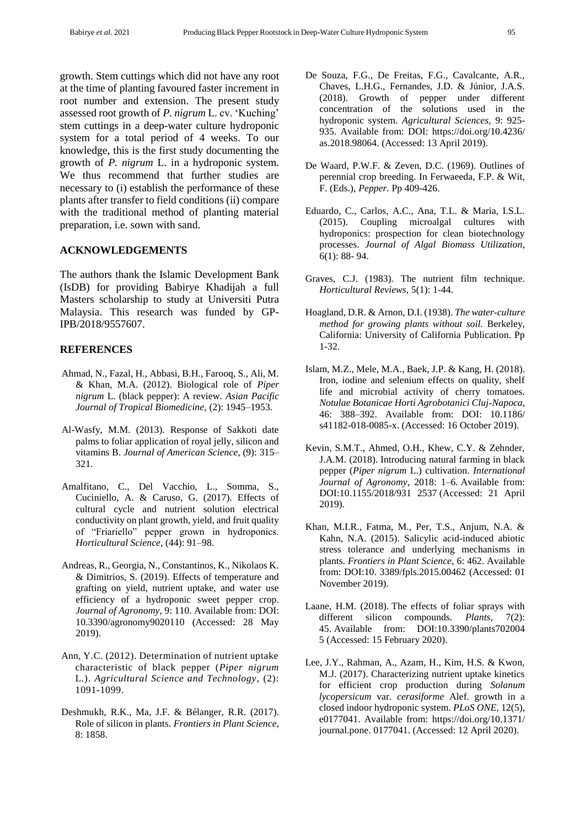growth. Stem cuttings which did not have any root at the time of planting favoured faster increment in root number and extension. The present study assessed root growth of *P. nigrum* L. cv. 'Kuching' stem cuttings in a deep-water culture hydroponic system for a total period of 4 weeks. To our knowledge, this is the first study documenting the growth of *P. nigrum* L. in a hydroponic system. We thus recommend that further studies are necessary to (i) establish the performance of these plants after transfer to field conditions (ii) compare with the traditional method of planting material preparation, i.e. sown with sand.

#### **ACKNOWLEDGEMENTS**

The authors thank the Islamic Development Bank (IsDB) for providing Babirye Khadijah a full Masters scholarship to study at Universiti Putra Malaysia. This research was funded by GP-IPB/2018/9557607.

### **REFERENCES**

- Ahmad, N., Fazal, H., Abbasi, B.H., Farooq, S., Ali, M. & Khan, M.A. (2012). Biological role of *Piper nigrum* L. (black pepper): A review. *Asian Pacific Journal of Tropical Biomedicine,* (2): 1945–1953.
- Al-Wasfy, M.M. (2013). Response of Sakkoti date palms to foliar application of royal jelly, silicon and vitamins B. *Journal of American Science,* (9): 315– 321.
- Amalfitano, C., Del Vacchio, L., Somma, S., Cuciniello, A. & Caruso, G. (2017). Effects of cultural cycle and nutrient solution electrical conductivity on plant growth, yield, and fruit quality of "Friariello" pepper grown in hydroponics. *Horticultural Science*, (44): 91–98.
- Andreas, R., Georgia, N., Constantinos, K., Nikolaos K. & Dimitrios, S. (2019). Effects of temperature and grafting on yield, nutrient uptake, and water use efficiency of a hydroponic sweet pepper crop. *Journal of Agronomy,* 9: 110. Available from: DOI: 10.3390/agronomy9020110 (Accessed: 28 May 2019).
- Ann, Y.C. (2012). Determination of nutrient uptake characteristic of black pepper (*Piper nigrum* L.). *Agricultural Science and Technology*, (2): 1091-1099.
- Deshmukh, R.K., Ma, J.F. & Bélanger, R.R. (2017). Role of silicon in plants. *Frontiers in Plant Science,*  8: 1858.
- De Souza, F.G., De Freitas, F.G., Cavalcante, A.R., Chaves, L.H.G., Fernandes, J.D. & Júnior, J.A.S. (2018). Growth of pepper under different concentration of the solutions used in the hydroponic system. *Agricultural Sciences,* 9: 925- 935. Available from: DOI: https://doi.org/10.4236/ as.2018.98064. (Accessed: 13 April 2019).
- De Waard, P.W.F. & Zeven, D.C. (1969). Outlines of perennial crop breeding. In Ferwaeeda, F.P. & Wit, F. (Eds.), *Pepper.* Pp 409-426.
- Eduardo, C., Carlos, A.C., Ana, T.L. & Maria, I.S.L. (2015). Coupling microalgal cultures with hydroponics: prospection for clean biotechnology processes. *Journal of Algal Biomass Utilization*, 6(1): 88- 94.
- Graves, C.J. (1983). The nutrient film technique. *Horticultural Reviews*, 5(1): 1-44.
- Hoagland, D.R. & Arnon, D.I. (1938). *The water-culture method for growing plants without soil.* Berkeley, California: University of California Publication. Pp 1-32.
- Islam, M.Z., Mele, M.A., Baek, J.P. & Kang, H. (2018). Iron, iodine and selenium effects on quality, shelf life and microbial activity of cherry tomatoes. *Notulae Botanicae Horti Agrobotanici Cluj-Napoca*, 46: 388–392. Available from: DOI: 10.1186/ s41182-018-0085-x. (Accessed: 16 October 2019).
- Kevin, S.M.T., Ahmed, O.H., Khew, C.Y. & Zehnder, J.A.M. (2018). Introducing natural farming in black pepper (*Piper nigrum* L.) cultivation. *International Journal of Agronomy*, 2018: 1–6*.* Available from: DOI:10.1155/2018/931 2537 (Accessed: 21 April 2019).
- Khan, M.I.R., Fatma, M., Per, T.S., Anjum, N.A. & Kahn, N.A. (2015). Salicylic acid-induced abiotic stress tolerance and underlying mechanisms in plants. *Frontiers in Plant Science,* 6: 462. Available from: DOI:10. 3389/fpls.2015.00462 (Accessed: 01 November 2019).
- Laane, H.M. (2018). The effects of foliar sprays with different silicon compounds. *Plants,* 7(2): 45. Available from: DOI:10.3390/plants702004 5 (Accessed: 15 February 2020).
- Lee, J.Y., Rahman, A., Azam, H., Kim, H.S. & Kwon, M.J. (2017). Characterizing nutrient uptake kinetics for efficient crop production during *Solanum lycopersicum* var. *cerasiforme* Alef. growth in a closed indoor hydroponic system. *PLoS ONE,* 12(5), e0177041. Available from: https://doi.org/10.1371/ journal.pone. 0177041. (Accessed: 12 April 2020).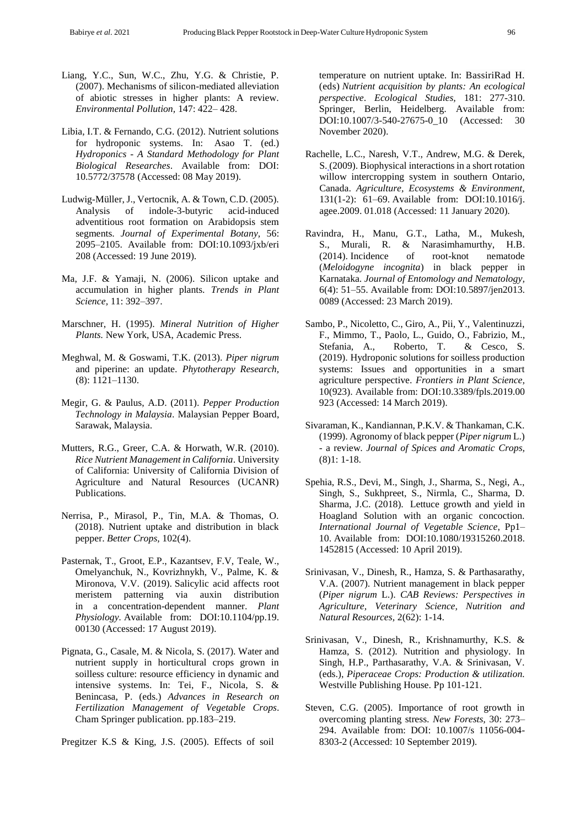- Liang, Y.C., Sun, W.C., Zhu, Y.G. & Christie, P. (2007). Mechanisms of silicon-mediated alleviation of abiotic stresses in higher plants: A review. *Environmental Pollution,* 147: 422– 428.
- Libia, I.T. & Fernando, C.G. (2012). Nutrient solutions for hydroponic systems. In: Asao T. (ed.) *Hydroponics - A Standard Methodology for Plant Biological Researches*. Available from: DOI: 10.5772/37578 (Accessed: 08 May 2019).
- Ludwig-Müller, J., Vertocnik, A. & Town, C.D. (2005). Analysis of indole-3-butyric acid-induced adventitious root formation on Arabidopsis stem segments. *Journal of Experimental Botany,* 56: 2095–2105. Available from: DOI:10.1093/jxb/eri 208 (Accessed: 19 June 2019).
- Ma, J.F. & Yamaji, N. (2006). Silicon uptake and accumulation in higher plants. *Trends in Plant Science,* 11: 392–397.
- Marschner, H. (1995). *Mineral Nutrition of Higher Plants.* New York, USA, Academic Press.
- Meghwal, M. & Goswami, T.K. (2013). *Piper nigrum*  and piperine: an update. *Phytotherapy Research,*  (8): 1121–1130.
- Megir, G. & Paulus, A.D. (2011). *Pepper Production Technology in Malaysia*. Malaysian Pepper Board, Sarawak, Malaysia.
- Mutters, R.G., Greer, C.A. & Horwath, W.R. (2010). *Rice Nutrient Management in California*. University of California: University of California Division of Agriculture and Natural Resources (UCANR) Publications.
- Nerrisa, P., Mirasol, P., Tin, M.A. & Thomas, O. (2018). Nutrient uptake and distribution in black pepper. *Better Crops,* 102(4).
- Pasternak, T., Groot, E.P., Kazantsev, F.V, Teale, W., Omelyanchuk, N., Kovrizhnykh, V., Palme, K. & Mironova, V.V. (2019). Salicylic acid affects root meristem patterning via auxin distribution in a concentration-dependent manner. *Plant Physiology.* Available from: DOI:10.1104/pp.19. 00130 (Accessed: 17 August 2019).
- Pignata, G., Casale, M. & Nicola, S. (2017). Water and nutrient supply in horticultural crops grown in soilless culture: resource efficiency in dynamic and intensive systems. In: Tei, F., Nicola, S. & Benincasa, P. (eds.) *Advances in Research on Fertilization Management of Vegetable Crops*. Cham Springer publication. pp.183–219.
- Pregitzer K.S & [King,](https://www.researchgate.net/scientific-contributions/20226841_J_S_King) J.S. (2005). [Effects](https://www.researchgate.net/publication/226984026_Effects_of_Soil_Temperature_on_Nutrient_Uptake) of soil

[temperature](https://www.researchgate.net/publication/226984026_Effects_of_Soil_Temperature_on_Nutrient_Uptake) on nutrient uptake. In: BassiriRad H. (eds) *Nutrient [acquisition](https://www.researchgate.net/publication/321620783_Nutrient_Acquisition_by_Plants_An_Ecological_Perspective) by plants: An ecological [perspective](https://www.researchgate.net/publication/321620783_Nutrient_Acquisition_by_Plants_An_Ecological_Perspective)*. *Ecological Studies,* 181: 277-310. Springer, Berlin, Heidelberg. Available from: DOI[:10.1007/3-540-27675-0\\_10](http://dx.doi.org/10.1007/3-540-27675-0_10) (Accessed: 30 November 2020).

- Rachelle, L.C., Naresh, V.T., Andrew, M.G. & Derek, S. (2009). Biophysical interactions in a short rotation willow intercropping system in southern Ontario, Canada. *Agriculture, Ecosystems & Environment,*  131(1-2): 61–69. Available from: DOI:10.1016/j. agee.2009. 01.018 (Accessed: 11 January 2020).
- Ravindra, H., Manu, G.T., Latha, M., Mukesh, S., Murali, R. & [Narasimhamurthy,](https://www.researchgate.net/profile/Narasimhamurthy_H_B4) H.B. (2014). Incidence of root-knot nematode (*Meloidogyne incognita*) in black pepper in Karnataka. *Journal of Entomology and Nematology,*  6(4): 51–55. Available from: DOI:10.5897/jen2013. 0089 (Accessed: 23 March 2019).
- Sambo, P., Nicoletto, C., Giro, A., Pii, Y., Valentinuzzi, F., Mimmo, T., [Paolo, L.,](https://www.ncbi.nlm.nih.gov/pubmed/?term=Lugli%20P%5BAuthor%5D&cauthor=true&cauthor_uid=31396245) [Guido, O., Fabrizio, M.,](https://www.ncbi.nlm.nih.gov/pubmed/?term=Orzes%20G%5BAuthor%5D&cauthor=true&cauthor_uid=31396245)  [Stefania, A.,](https://www.ncbi.nlm.nih.gov/pubmed/?term=Astolfi%20S%5BAuthor%5D&cauthor=true&cauthor_uid=31396245) [Roberto, T.](https://www.ncbi.nlm.nih.gov/pubmed/?term=Terzano%20R%5BAuthor%5D&cauthor=true&cauthor_uid=31396245) & Cesco, S. (2019). Hydroponic solutions for soilless production systems: Issues and opportunities in a smart agriculture perspective. *Frontiers in Plant Science,*  10(923). Available from: DOI:10.3389/fpls.2019.00 923 (Accessed: 14 March 2019).
- Sivaraman, K., Kandiannan, P.K.V. & Thankaman, C.K. (1999). Agronomy of black pepper (*Piper nigrum* L.) - a review. *Journal of Spices and Aromatic Crops,*  (8)1: 1-18.
- Spehia, R.S., Devi, M., Singh, J., Sharma, S., Negi, A., Singh, S., Sukhpreet, S., Nirmla, C., Sharma, D. Sharma, J.C. (2018). Lettuce growth and yield in Hoagland Solution with an organic concoction. *International Journal of Vegetable Science*, Pp1– 10. Available from: DOI:10.1080/19315260.2018. 1452815 (Accessed: 10 April 2019).
- Srinivasan, V., Dinesh, R., Hamza, S. & Parthasarathy, V.A. (2007). Nutrient management in black pepper (*Piper nigrum* L.). *CAB Reviews: Perspectives in Agriculture, Veterinary Science, Nutrition and Natural Resources,* 2(62): 1-14.
- Srinivasan, V., Dinesh, R., Krishnamurthy, K.S. & Hamza, S. (2012). Nutrition and physiology. In Singh, H.P., Parthasarathy, V.A. & Srinivasan, V. (eds.), *Piperaceae Crops: Production & utilization.* Westville Publishing House. Pp 101-121.
- Steven, C.G. (2005). Importance of root growth in overcoming planting stress. *New Forests,* 30: 273– 294. Available from: DOI: 10.1007/s 11056-004- 8303-2 (Accessed: 10 September 2019).